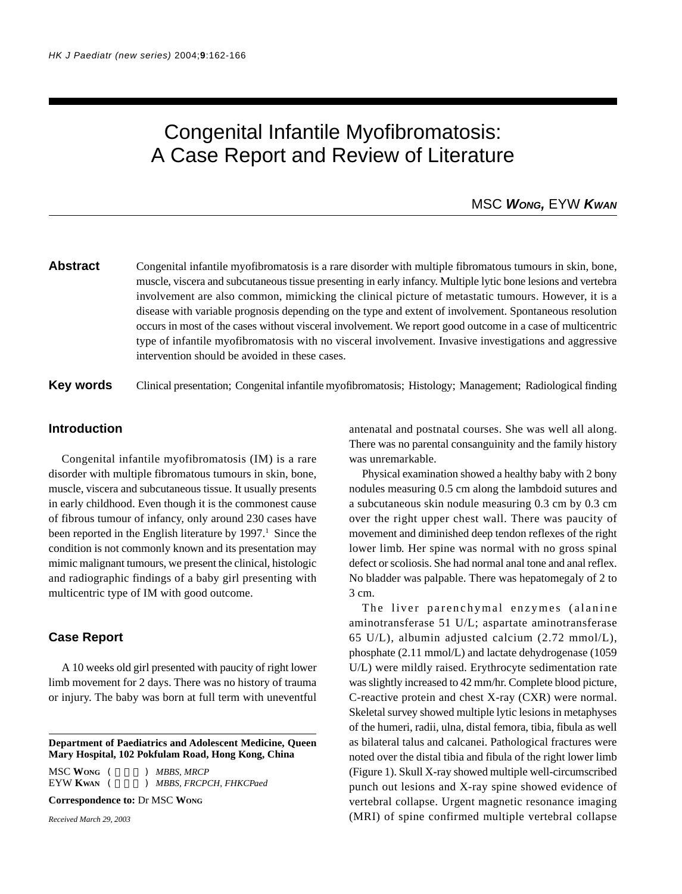# Congenital Infantile Myofibromatosis: A Case Report and Review of Literature

# MSC *WONG,* EYW *KWAN*

# **Abstract** Congenital infantile myofibromatosis is a rare disorder with multiple fibromatous tumours in skin, bone, muscle, viscera and subcutaneous tissue presenting in early infancy. Multiple lytic bone lesions and vertebra involvement are also common, mimicking the clinical picture of metastatic tumours. However, it is a disease with variable prognosis depending on the type and extent of involvement. Spontaneous resolution occurs in most of the cases without visceral involvement. We report good outcome in a case of multicentric type of infantile myofibromatosis with no visceral involvement. Invasive investigations and aggressive intervention should be avoided in these cases.

**Key words** Clinical presentation; Congenital infantile myofibromatosis; Histology; Management; Radiological finding

## **Introduction**

Congenital infantile myofibromatosis (IM) is a rare disorder with multiple fibromatous tumours in skin, bone, muscle, viscera and subcutaneous tissue. It usually presents in early childhood. Even though it is the commonest cause of fibrous tumour of infancy, only around 230 cases have been reported in the English literature by 1997.<sup>1</sup> Since the condition is not commonly known and its presentation may mimic malignant tumours, we present the clinical, histologic and radiographic findings of a baby girl presenting with multicentric type of IM with good outcome.

### **Case Report**

A 10 weeks old girl presented with paucity of right lower limb movement for 2 days. There was no history of trauma or injury. The baby was born at full term with uneventful

**Department of Paediatrics and Adolescent Medicine, Queen Mary Hospital, 102 Pokfulam Road, Hong Kong, China**

MSC WONG (  $MBBS, MRCP$ EYW KWAN (  $MBBS, FRCPCH, FHKCPad$ 

**Correspondence to:** Dr MSC **WONG**

*Received March 29, 2003*

antenatal and postnatal courses. She was well all along. There was no parental consanguinity and the family history was unremarkable.

Physical examination showed a healthy baby with 2 bony nodules measuring 0.5 cm along the lambdoid sutures and a subcutaneous skin nodule measuring 0.3 cm by 0.3 cm over the right upper chest wall. There was paucity of movement and diminished deep tendon reflexes of the right lower limb. Her spine was normal with no gross spinal defect or scoliosis. She had normal anal tone and anal reflex. No bladder was palpable. There was hepatomegaly of 2 to 3 cm.

The liver parenchymal enzymes (alanine aminotransferase 51 U/L; aspartate aminotransferase 65 U/L), albumin adjusted calcium (2.72 mmol/L), phosphate (2.11 mmol/L) and lactate dehydrogenase (1059 U/L) were mildly raised. Erythrocyte sedimentation rate was slightly increased to 42 mm/hr. Complete blood picture, C-reactive protein and chest X-ray (CXR) were normal. Skeletal survey showed multiple lytic lesions in metaphyses of the humeri, radii, ulna, distal femora, tibia, fibula as well as bilateral talus and calcanei. Pathological fractures were noted over the distal tibia and fibula of the right lower limb (Figure 1). Skull X-ray showed multiple well-circumscribed punch out lesions and X-ray spine showed evidence of vertebral collapse. Urgent magnetic resonance imaging (MRI) of spine confirmed multiple vertebral collapse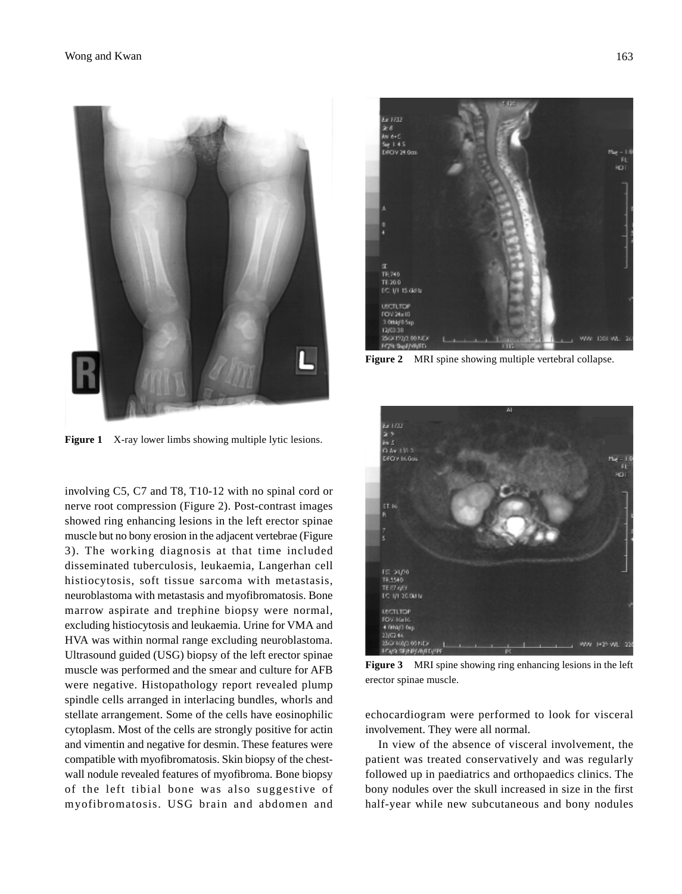

**Figure 1** X-ray lower limbs showing multiple lytic lesions.

involving C5, C7 and T8, T10-12 with no spinal cord or nerve root compression (Figure 2). Post-contrast images showed ring enhancing lesions in the left erector spinae muscle but no bony erosion in the adjacent vertebrae (Figure 3). The working diagnosis at that time included disseminated tuberculosis, leukaemia, Langerhan cell histiocytosis, soft tissue sarcoma with metastasis, neuroblastoma with metastasis and myofibromatosis. Bone marrow aspirate and trephine biopsy were normal, excluding histiocytosis and leukaemia. Urine for VMA and HVA was within normal range excluding neuroblastoma. Ultrasound guided (USG) biopsy of the left erector spinae muscle was performed and the smear and culture for AFB were negative. Histopathology report revealed plump spindle cells arranged in interlacing bundles, whorls and stellate arrangement. Some of the cells have eosinophilic cytoplasm. Most of the cells are strongly positive for actin and vimentin and negative for desmin. These features were compatible with myofibromatosis. Skin biopsy of the chestwall nodule revealed features of myofibroma. Bone biopsy of the left tibial bone was also suggestive of myofibromatosis. USG brain and abdomen and



**Figure 2** MRI spine showing multiple vertebral collapse.



**Figure 3** MRI spine showing ring enhancing lesions in the left erector spinae muscle.

echocardiogram were performed to look for visceral involvement. They were all normal.

In view of the absence of visceral involvement, the patient was treated conservatively and was regularly followed up in paediatrics and orthopaedics clinics. The bony nodules over the skull increased in size in the first half-year while new subcutaneous and bony nodules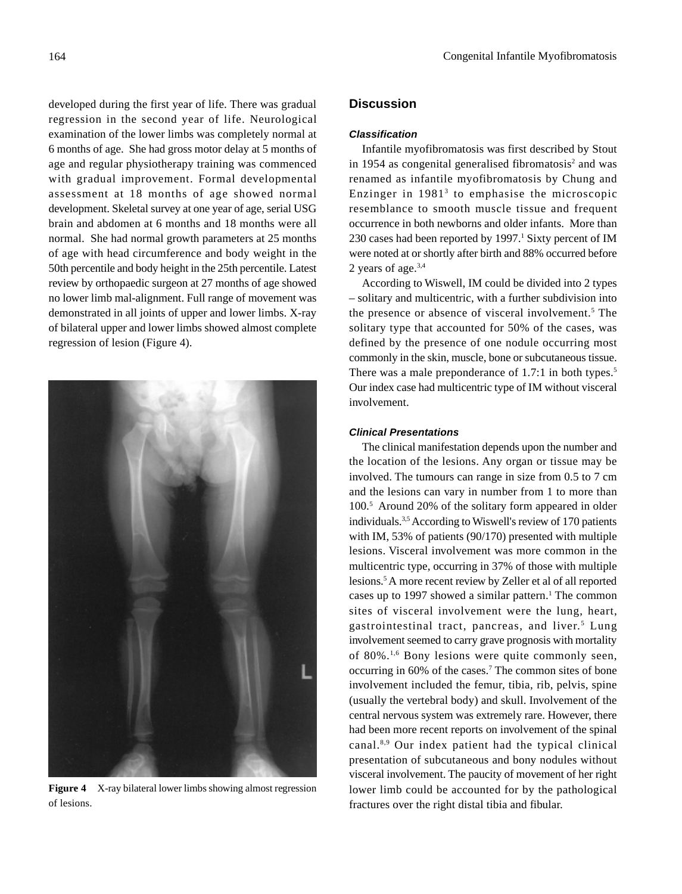developed during the first year of life. There was gradual regression in the second year of life. Neurological examination of the lower limbs was completely normal at 6 months of age. She had gross motor delay at 5 months of age and regular physiotherapy training was commenced with gradual improvement. Formal developmental assessment at 18 months of age showed normal development. Skeletal survey at one year of age, serial USG brain and abdomen at 6 months and 18 months were all normal. She had normal growth parameters at 25 months of age with head circumference and body weight in the 50th percentile and body height in the 25th percentile. Latest review by orthopaedic surgeon at 27 months of age showed no lower limb mal-alignment. Full range of movement was demonstrated in all joints of upper and lower limbs. X-ray of bilateral upper and lower limbs showed almost complete regression of lesion (Figure 4).



**Figure 4** X-ray bilateral lower limbs showing almost regression of lesions.

# **Discussion**

#### *Classification*

Infantile myofibromatosis was first described by Stout in 1954 as congenital generalised fibromatosis<sup>2</sup> and was renamed as infantile myofibromatosis by Chung and Enzinger in 19813 to emphasise the microscopic resemblance to smooth muscle tissue and frequent occurrence in both newborns and older infants. More than 230 cases had been reported by 1997.<sup>1</sup> Sixty percent of IM were noted at or shortly after birth and 88% occurred before 2 years of age.3,4

According to Wiswell, IM could be divided into 2 types – solitary and multicentric, with a further subdivision into the presence or absence of visceral involvement.<sup>5</sup> The solitary type that accounted for 50% of the cases, was defined by the presence of one nodule occurring most commonly in the skin, muscle, bone or subcutaneous tissue. There was a male preponderance of 1.7:1 in both types.<sup>5</sup> Our index case had multicentric type of IM without visceral involvement.

#### *Clinical Presentations*

The clinical manifestation depends upon the number and the location of the lesions. Any organ or tissue may be involved. The tumours can range in size from 0.5 to 7 cm and the lesions can vary in number from 1 to more than 100.5 Around 20% of the solitary form appeared in older individuals.3,5 According to Wiswell's review of 170 patients with IM, 53% of patients (90/170) presented with multiple lesions. Visceral involvement was more common in the multicentric type, occurring in 37% of those with multiple lesions.5 A more recent review by Zeller et al of all reported cases up to 1997 showed a similar pattern.<sup>1</sup> The common sites of visceral involvement were the lung, heart, gastrointestinal tract, pancreas, and liver.<sup>5</sup> Lung involvement seemed to carry grave prognosis with mortality of 80%.1,6 Bony lesions were quite commonly seen, occurring in 60% of the cases.<sup>7</sup> The common sites of bone involvement included the femur, tibia, rib, pelvis, spine (usually the vertebral body) and skull. Involvement of the central nervous system was extremely rare. However, there had been more recent reports on involvement of the spinal canal.8,9 Our index patient had the typical clinical presentation of subcutaneous and bony nodules without visceral involvement. The paucity of movement of her right lower limb could be accounted for by the pathological fractures over the right distal tibia and fibular.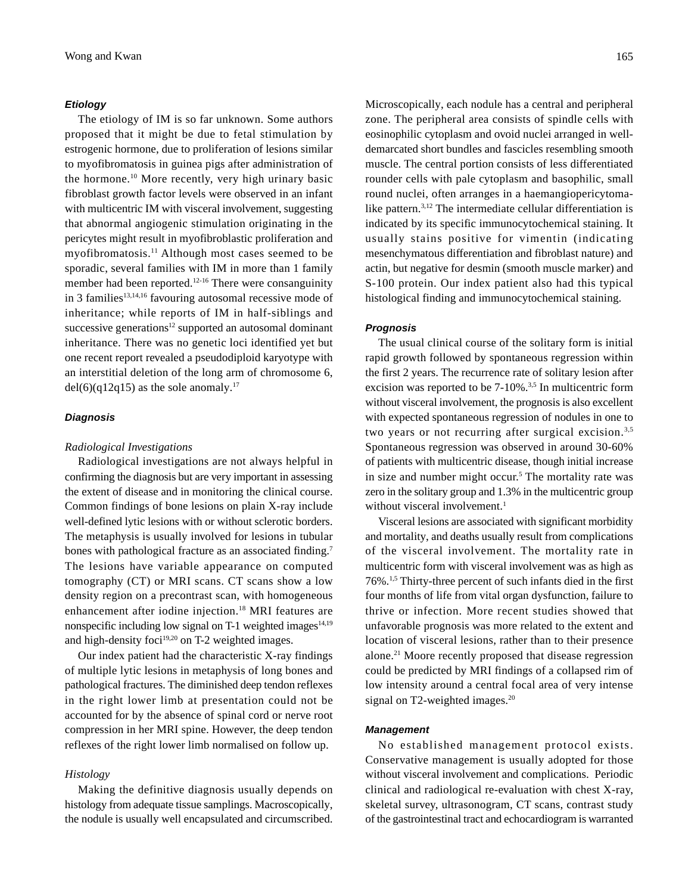#### *Etiology*

The etiology of IM is so far unknown. Some authors proposed that it might be due to fetal stimulation by estrogenic hormone, due to proliferation of lesions similar to myofibromatosis in guinea pigs after administration of the hormone.10 More recently, very high urinary basic fibroblast growth factor levels were observed in an infant with multicentric IM with visceral involvement, suggesting that abnormal angiogenic stimulation originating in the pericytes might result in myofibroblastic proliferation and myofibromatosis.11 Although most cases seemed to be sporadic, several families with IM in more than 1 family member had been reported.<sup>12-16</sup> There were consanguinity in 3 families<sup>13,14,16</sup> favouring autosomal recessive mode of inheritance; while reports of IM in half-siblings and successive generations<sup>12</sup> supported an autosomal dominant inheritance. There was no genetic loci identified yet but one recent report revealed a pseudodiploid karyotype with an interstitial deletion of the long arm of chromosome 6, del(6)(q12q15) as the sole anomaly.<sup>17</sup>

#### *Diagnosis*

#### *Radiological Investigations*

Radiological investigations are not always helpful in confirming the diagnosis but are very important in assessing the extent of disease and in monitoring the clinical course. Common findings of bone lesions on plain X-ray include well-defined lytic lesions with or without sclerotic borders. The metaphysis is usually involved for lesions in tubular bones with pathological fracture as an associated finding.<sup>7</sup> The lesions have variable appearance on computed tomography (CT) or MRI scans. CT scans show a low density region on a precontrast scan, with homogeneous enhancement after iodine injection.18 MRI features are nonspecific including low signal on T-1 weighted images $14,19$ and high-density foci $19,20$  on T-2 weighted images.

Our index patient had the characteristic X-ray findings of multiple lytic lesions in metaphysis of long bones and pathological fractures. The diminished deep tendon reflexes in the right lower limb at presentation could not be accounted for by the absence of spinal cord or nerve root compression in her MRI spine. However, the deep tendon reflexes of the right lower limb normalised on follow up.

#### *Histology*

Making the definitive diagnosis usually depends on histology from adequate tissue samplings. Macroscopically, the nodule is usually well encapsulated and circumscribed.

Microscopically, each nodule has a central and peripheral zone. The peripheral area consists of spindle cells with eosinophilic cytoplasm and ovoid nuclei arranged in welldemarcated short bundles and fascicles resembling smooth muscle. The central portion consists of less differentiated rounder cells with pale cytoplasm and basophilic, small round nuclei, often arranges in a haemangiopericytomalike pattern.<sup>3,12</sup> The intermediate cellular differentiation is indicated by its specific immunocytochemical staining. It usually stains positive for vimentin (indicating mesenchymatous differentiation and fibroblast nature) and actin, but negative for desmin (smooth muscle marker) and S-100 protein. Our index patient also had this typical histological finding and immunocytochemical staining.

#### *Prognosis*

The usual clinical course of the solitary form is initial rapid growth followed by spontaneous regression within the first 2 years. The recurrence rate of solitary lesion after excision was reported to be 7-10%.<sup>3,5</sup> In multicentric form without visceral involvement, the prognosis is also excellent with expected spontaneous regression of nodules in one to two years or not recurring after surgical excision.<sup>3,5</sup> Spontaneous regression was observed in around 30-60% of patients with multicentric disease, though initial increase in size and number might occur.<sup>5</sup> The mortality rate was zero in the solitary group and 1.3% in the multicentric group without visceral involvement.<sup>1</sup>

Visceral lesions are associated with significant morbidity and mortality, and deaths usually result from complications of the visceral involvement. The mortality rate in multicentric form with visceral involvement was as high as 76%.1,5 Thirty-three percent of such infants died in the first four months of life from vital organ dysfunction, failure to thrive or infection. More recent studies showed that unfavorable prognosis was more related to the extent and location of visceral lesions, rather than to their presence alone.21 Moore recently proposed that disease regression could be predicted by MRI findings of a collapsed rim of low intensity around a central focal area of very intense signal on T2-weighted images.<sup>20</sup>

#### *Management*

No established management protocol exists. Conservative management is usually adopted for those without visceral involvement and complications. Periodic clinical and radiological re-evaluation with chest X-ray, skeletal survey, ultrasonogram, CT scans, contrast study of the gastrointestinal tract and echocardiogram is warranted